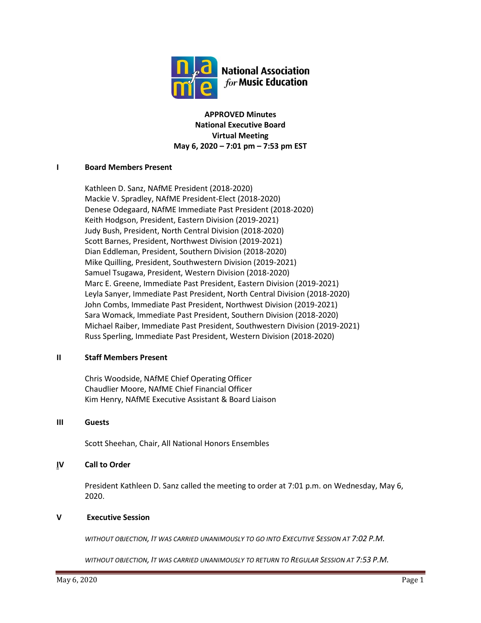

**APPROVED Minutes National Executive Board Virtual Meeting May 6, 2020 – 7:01 pm – 7:53 pm EST**

## **I Board Members Present**

Kathleen D. Sanz, NAfME President (2018-2020) Mackie V. Spradley, NAfME President-Elect (2018-2020) Denese Odegaard, NAfME Immediate Past President (2018-2020) Keith Hodgson, President, Eastern Division (2019-2021) Judy Bush, President, North Central Division (2018-2020) Scott Barnes, President, Northwest Division (2019-2021) Dian Eddleman, President, Southern Division (2018-2020) Mike Quilling, President, Southwestern Division (2019-2021) Samuel Tsugawa, President, Western Division (2018-2020) Marc E. Greene, Immediate Past President, Eastern Division (2019-2021) Leyla Sanyer, Immediate Past President, North Central Division (2018-2020) John Combs, Immediate Past President, Northwest Division (2019-2021) Sara Womack, Immediate Past President, Southern Division (2018-2020) Michael Raiber, Immediate Past President, Southwestern Division (2019-2021) Russ Sperling, Immediate Past President, Western Division (2018-2020)

## **II Staff Members Present**

Chris Woodside, NAfME Chief Operating Officer Chaudlier Moore, NAfME Chief Financial Officer Kim Henry, NAfME Executive Assistant & Board Liaison

## **III Guests**

Scott Sheehan, Chair, All National Honors Ensembles

# **IV Call to Order**

President Kathleen D. Sanz called the meeting to order at 7:01 p.m. on Wednesday, May 6, 2020.

## **V Executive Session**

*WITHOUT OBJECTION, IT WAS CARRIED UNANIMOUSLY TO GO INTO EXECUTIVE SESSION AT 7:02 P.M.*

*WITHOUT OBJECTION, IT WAS CARRIED UNANIMOUSLY TO RETURN TO REGULAR SESSION AT 7:53 P.M.*